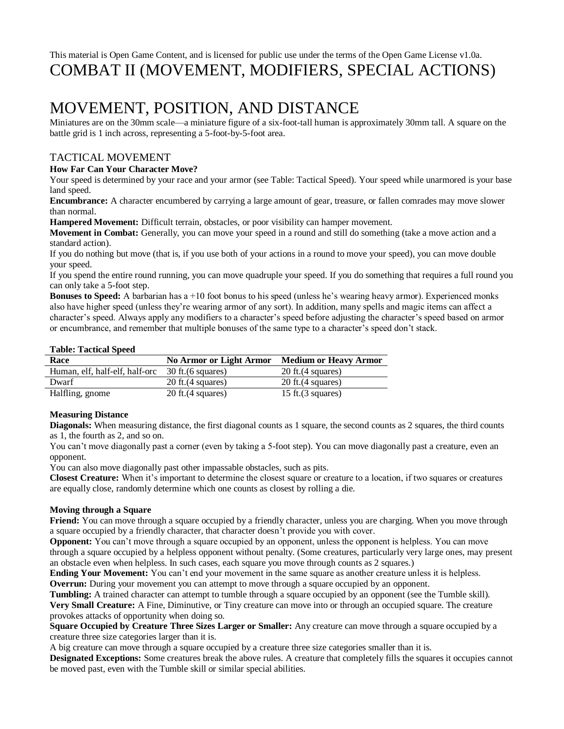# This material is Open Game Content, and is licensed for public use under the terms of the Open Game License v1.0a. COMBAT II (MOVEMENT, MODIFIERS, SPECIAL ACTIONS)

# MOVEMENT, POSITION, AND DISTANCE

Miniatures are on the 30mm scale—a miniature figure of a six-foot-tall human is approximately 30mm tall. A square on the battle grid is 1 inch across, representing a 5-foot-by-5-foot area.

# TACTICAL MOVEMENT

### **How Far Can Your Character Move?**

Your speed is determined by your race and your armor (see Table: Tactical Speed). Your speed while unarmored is your base land speed.

**Encumbrance:** A character encumbered by carrying a large amount of gear, treasure, or fallen comrades may move slower than normal.

**Hampered Movement:** Difficult terrain, obstacles, or poor visibility can hamper movement.

**Movement in Combat:** Generally, you can move your speed in a round and still do something (take a move action and a standard action).

If you do nothing but move (that is, if you use both of your actions in a round to move your speed), you can move double your speed.

If you spend the entire round running, you can move quadruple your speed. If you do something that requires a full round you can only take a 5-foot step.

**Bonuses to Speed:** A barbarian has a +10 foot bonus to his speed (unless he's wearing heavy armor). Experienced monks also have higher speed (unless they're wearing armor of any sort). In addition, many spells and magic items can affect a character's speed. Always apply any modifiers to a character's speed before adjusting the character's speed based on armor or encumbrance, and remember that multiple bonuses of the same type to a character's speed don't stack.

#### **Table: Tactical Speed**

| Race                           | No Armor or Light Armor        | <b>Medium or Heavy Armor</b>   |
|--------------------------------|--------------------------------|--------------------------------|
| Human, elf, half-elf, half-orc | $30$ ft. (6 squares)           | $20$ ft. (4 squares)           |
| Dwarf                          | $20$ ft. (4 squares)           | $20$ ft. $(4 \text{ squares})$ |
| Halfling, gnome                | $20$ ft. $(4 \text{ squares})$ | 15 ft. $(3 \text{ squares})$   |

# **Measuring Distance**

**Diagonals:** When measuring distance, the first diagonal counts as 1 square, the second counts as 2 squares, the third counts as 1, the fourth as 2, and so on.

You can't move diagonally past a corner (even by taking a 5-foot step). You can move diagonally past a creature, even an opponent.

You can also move diagonally past other impassable obstacles, such as pits.

**Closest Creature:** When it's important to determine the closest square or creature to a location, if two squares or creatures are equally close, randomly determine which one counts as closest by rolling a die.

#### **Moving through a Square**

**Friend:** You can move through a square occupied by a friendly character, unless you are charging. When you move through a square occupied by a friendly character, that character doesn't provide you with cover.

**Opponent:** You can't move through a square occupied by an opponent, unless the opponent is helpless. You can move through a square occupied by a helpless opponent without penalty. (Some creatures, particularly very large ones, may present an obstacle even when helpless. In such cases, each square you move through counts as 2 squares.)

**Ending Your Movement:** You can't end your movement in the same square as another creature unless it is helpless. **Overrun:** During your movement you can attempt to move through a square occupied by an opponent.

**Tumbling:** A trained character can attempt to tumble through a square occupied by an opponent (see the Tumble skill). **Very Small Creature:** A Fine, Diminutive, or Tiny creature can move into or through an occupied square. The creature provokes attacks of opportunity when doing so.

**Square Occupied by Creature Three Sizes Larger or Smaller:** Any creature can move through a square occupied by a creature three size categories larger than it is.

A big creature can move through a square occupied by a creature three size categories smaller than it is.

**Designated Exceptions:** Some creatures break the above rules. A creature that completely fills the squares it occupies cannot be moved past, even with the Tumble skill or similar special abilities.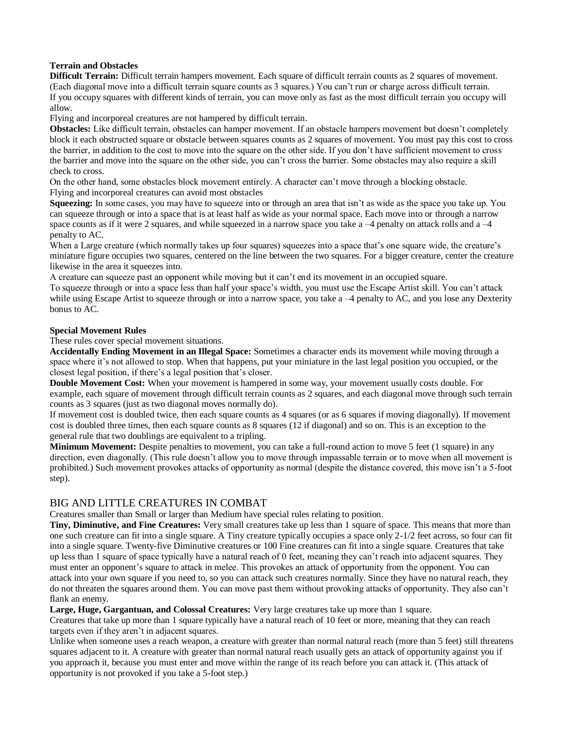### **Terrain and Obstacles**

**Difficult Terrain:** Difficult terrain hampers movement. Each square of difficult terrain counts as 2 squares of movement. (Each diagonal move into a difficult terrain square counts as 3 squares.) You can't run or charge across difficult terrain. If you occupy squares with different kinds of terrain, you can move only as fast as the most difficult terrain you occupy will allow.

Flying and incorporeal creatures are not hampered by difficult terrain.

**Obstacles:** Like difficult terrain, obstacles can hamper movement. If an obstacle hampers movement but doesn't completely block it each obstructed square or obstacle between squares counts as 2 squares of movement. You must pay this cost to cross the barrier, in addition to the cost to move into the square on the other side. If you don't have sufficient movement to cross the barrier and move into the square on the other side, you can't cross the barrier. Some obstacles may also require a skill check to cross.

On the other hand, some obstacles block movement entirely. A character can't move through a blocking obstacle. Flying and incorporeal creatures can avoid most obstacles

**Squeezing:** In some cases, you may have to squeeze into or through an area that isn't as wide as the space you take up. You can squeeze through or into a space that is at least half as wide as your normal space. Each move into or through a narrow space counts as if it were 2 squares, and while squeezed in a narrow space you take a  $-4$  penalty on attack rolls and a  $-4$ penalty to AC.

When a Large creature (which normally takes up four squares) squeezes into a space that's one square wide, the creature's miniature figure occupies two squares, centered on the line between the two squares. For a bigger creature, center the creature likewise in the area it squeezes into.

A creature can squeeze past an opponent while moving but it can't end its movement in an occupied square.

To squeeze through or into a space less than half your space's width, you must use the Escape Artist skill. You can't attack while using Escape Artist to squeeze through or into a narrow space, you take  $a - 4$  penalty to AC, and you lose any Dexterity bonus to AC.

#### **Special Movement Rules**

These rules cover special movement situations.

**Accidentally Ending Movement in an Illegal Space:** Sometimes a character ends its movement while moving through a space where it's not allowed to stop. When that happens, put your miniature in the last legal position you occupied, or the closest legal position, if there's a legal position that's closer.

**Double Movement Cost:** When your movement is hampered in some way, your movement usually costs double. For example, each square of movement through difficult terrain counts as 2 squares, and each diagonal move through such terrain counts as 3 squares (just as two diagonal moves normally do).

If movement cost is doubled twice, then each square counts as 4 squares (or as 6 squares if moving diagonally). If movement cost is doubled three times, then each square counts as 8 squares (12 if diagonal) and so on. This is an exception to the general rule that two doublings are equivalent to a tripling.

**Minimum Movement:** Despite penalties to movement, you can take a full-round action to move 5 feet (1 square) in any direction, even diagonally. (This rule doesn't allow you to move through impassable terrain or to move when all movement is prohibited.) Such movement provokes attacks of opportunity as normal (despite the distance covered, this move isn't a 5-foot step).

# BIG AND LITTLE CREATURES IN COMBAT

Creatures smaller than Small or larger than Medium have special rules relating to position.

**Tiny, Diminutive, and Fine Creatures:** Very small creatures take up less than 1 square of space. This means that more than one such creature can fit into a single square. A Tiny creature typically occupies a space only 2-1/2 feet across, so four can fit into a single square. Twenty-five Diminutive creatures or 100 Fine creatures can fit into a single square. Creatures that take up less than 1 square of space typically have a natural reach of 0 feet, meaning they can't reach into adjacent squares. They must enter an opponent's square to attack in melee. This provokes an attack of opportunity from the opponent. You can attack into your own square if you need to, so you can attack such creatures normally. Since they have no natural reach, they do not threaten the squares around them. You can move past them without provoking attacks of opportunity. They also can't flank an enemy.

**Large, Huge, Gargantuan, and Colossal Creatures:** Very large creatures take up more than 1 square.

Creatures that take up more than 1 square typically have a natural reach of 10 feet or more, meaning that they can reach targets even if they aren't in adjacent squares.

Unlike when someone uses a reach weapon, a creature with greater than normal natural reach (more than 5 feet) still threatens squares adjacent to it. A creature with greater than normal natural reach usually gets an attack of opportunity against you if you approach it, because you must enter and move within the range of its reach before you can attack it. (This attack of opportunity is not provoked if you take a 5-foot step.)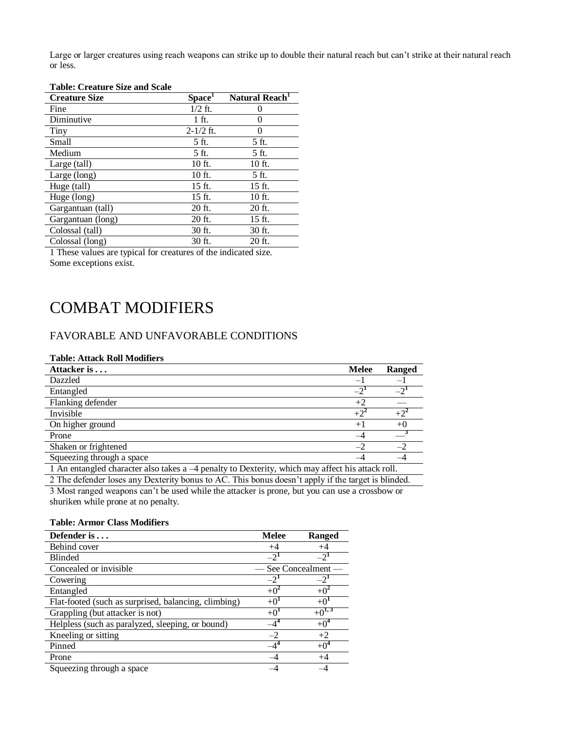Large or larger creatures using reach weapons can strike up to double their natural reach but can't strike at their natural reach or less.

| <b>Creature Size</b> | Space <sup>1</sup> | Natural Reach |
|----------------------|--------------------|---------------|
| Fine                 | $1/2$ ft.          |               |
| Diminutive           | $1 \text{ ft.}$    | 0             |
| Tiny                 | $2-1/2$ ft.        | 0             |
| Small                | 5 ft.              | 5 ft.         |
| Medium               | $5$ ft.            | 5 ft.         |
| Large (tall)         | 10 ft.             | 10 ft.        |
| Large (long)         | 10 ft.             | 5 ft.         |
| Huge (tall)          | $15$ ft.           | 15 ft.        |
| Huge (long)          | 15 ft.             | 10 ft.        |
| Gargantuan (tall)    | 20 ft.             | 20 ft.        |
| Gargantuan (long)    | 20 ft.             | 15 ft.        |
| Colossal (tall)      | 30 ft.             | 30 ft.        |
| Colossal (long)      | 30 ft.             | 20 ft.        |

# **Table: Creature Size and Scale**

1 These values are typical for creatures of the indicated size. Some exceptions exist.

# COMBAT MODIFIERS

# FAVORABLE AND UNFAVORABLE CONDITIONS

#### **Table: Attack Roll Modifiers**

| Attacker is               | <b>Melee</b>                                                                                                                                                                                                                                                                                                                                                                         | Ranged                   |
|---------------------------|--------------------------------------------------------------------------------------------------------------------------------------------------------------------------------------------------------------------------------------------------------------------------------------------------------------------------------------------------------------------------------------|--------------------------|
| Dazzled                   |                                                                                                                                                                                                                                                                                                                                                                                      | $\overline{\phantom{0}}$ |
| Entangled                 |                                                                                                                                                                                                                                                                                                                                                                                      |                          |
| Flanking defender         | $+2$                                                                                                                                                                                                                                                                                                                                                                                 |                          |
| Invisible                 |                                                                                                                                                                                                                                                                                                                                                                                      |                          |
| On higher ground          | $+$                                                                                                                                                                                                                                                                                                                                                                                  | $+()$                    |
| Prone                     |                                                                                                                                                                                                                                                                                                                                                                                      |                          |
| Shaken or frightened      |                                                                                                                                                                                                                                                                                                                                                                                      |                          |
| Squeezing through a space |                                                                                                                                                                                                                                                                                                                                                                                      |                          |
| $\overline{\phantom{a}}$  | $\overline{a}$ $\overline{a}$ $\overline{a}$ $\overline{a}$ $\overline{a}$ $\overline{a}$ $\overline{a}$ $\overline{a}$ $\overline{a}$ $\overline{a}$ $\overline{a}$ $\overline{a}$ $\overline{a}$ $\overline{a}$ $\overline{a}$ $\overline{a}$ $\overline{a}$ $\overline{a}$ $\overline{a}$ $\overline{a}$ $\overline{a}$ $\overline{a}$ $\overline{a}$ $\overline{a}$ $\overline{$ | .                        |

1 An entangled character also takes a –4 penalty to Dexterity, which may affect his attack roll.

2 The defender loses any Dexterity bonus to AC. This bonus doesn't apply if the target is blinded.

3 Most ranged weapons can't be used while the attacker is prone, but you can use a crossbow or shuriken while prone at no penalty.

#### **Table: Armor Class Modifiers**

| Defender is $\dots$                                  | <b>Melee</b>      | <b>Ranged</b> |
|------------------------------------------------------|-------------------|---------------|
| Behind cover                                         | $+4$              | $+4$          |
| <b>Blinded</b>                                       | $-2^{3}$          | $-2^1$        |
| Concealed or invisible                               | — See Concealment |               |
| Cowering                                             | $-2$              |               |
| Entangled                                            | $+0^{\circ}$      |               |
| Flat-footed (such as surprised, balancing, climbing) | $+01$             | $+01$         |
| Grappling (but attacker is not)                      | $+0^{\circ}$      | $+0^{1,3}$    |
| Helpless (such as paralyzed, sleeping, or bound)     |                   | $+0^4$        |
| Kneeling or sitting                                  | $-2$              | $+2$          |
| Pinned                                               |                   | $+04$         |
| Prone                                                |                   | $+4$          |
| Caussing through a space                             |                   |               |

Squeezing through a space  $-4$   $-4$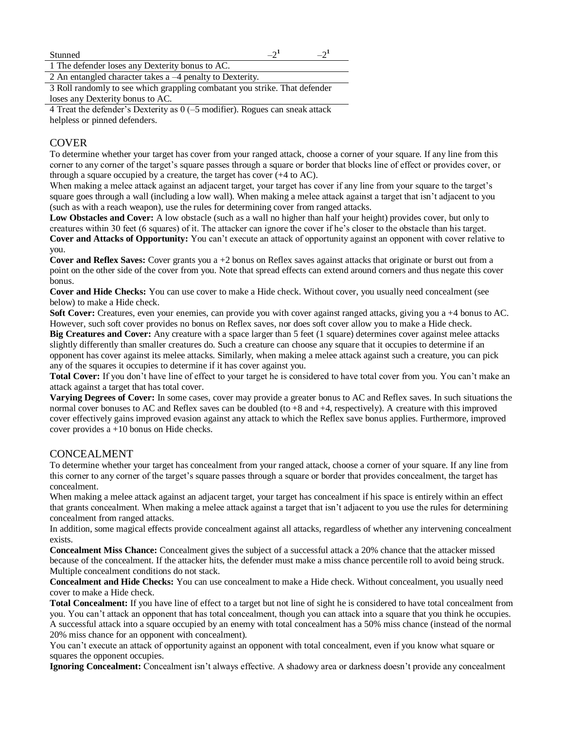| Stunned |  |
|---------|--|
|---------|--|

1 The defender loses any Dexterity bonus to AC.

2 An entangled character takes a –4 penalty to Dexterity.

3 Roll randomly to see which grappling combatant you strike. That defender loses any Dexterity bonus to AC.

4 Treat the defender's Dexterity as 0 (–5 modifier). Rogues can sneak attack helpless or pinned defenders.

### **COVER**

To determine whether your target has cover from your ranged attack, choose a corner of your square. If any line from this corner to any corner of the target's square passes through a square or border that blocks line of effect or provides cover, or through a square occupied by a creature, the target has cover (+4 to AC).

When making a melee attack against an adjacent target, your target has cover if any line from your square to the target's square goes through a wall (including a low wall). When making a melee attack against a target that isn't adjacent to you (such as with a reach weapon), use the rules for determining cover from ranged attacks.

**Low Obstacles and Cover:** A low obstacle (such as a wall no higher than half your height) provides cover, but only to creatures within 30 feet (6 squares) of it. The attacker can ignore the cover if he's closer to the obstacle than his target. **Cover and Attacks of Opportunity:** You can't execute an attack of opportunity against an opponent with cover relative to you.

**Cover and Reflex Saves:** Cover grants you a +2 bonus on Reflex saves against attacks that originate or burst out from a point on the other side of the cover from you. Note that spread effects can extend around corners and thus negate this cover bonus.

**Cover and Hide Checks:** You can use cover to make a Hide check. Without cover, you usually need concealment (see below) to make a Hide check.

**Soft Cover:** Creatures, even your enemies, can provide you with cover against ranged attacks, giving you a +4 bonus to AC. However, such soft cover provides no bonus on Reflex saves, nor does soft cover allow you to make a Hide check.

**Big Creatures and Cover:** Any creature with a space larger than 5 feet (1 square) determines cover against melee attacks slightly differently than smaller creatures do. Such a creature can choose any square that it occupies to determine if an opponent has cover against its melee attacks. Similarly, when making a melee attack against such a creature, you can pick any of the squares it occupies to determine if it has cover against you.

**Total Cover:** If you don't have line of effect to your target he is considered to have total cover from you. You can't make an attack against a target that has total cover.

**Varying Degrees of Cover:** In some cases, cover may provide a greater bonus to AC and Reflex saves. In such situations the normal cover bonuses to AC and Reflex saves can be doubled (to  $+8$  and  $+4$ , respectively). A creature with this improved cover effectively gains improved evasion against any attack to which the Reflex save bonus applies. Furthermore, improved cover provides a +10 bonus on Hide checks.

# CONCEALMENT

To determine whether your target has concealment from your ranged attack, choose a corner of your square. If any line from this corner to any corner of the target's square passes through a square or border that provides concealment, the target has concealment.

When making a melee attack against an adjacent target, your target has concealment if his space is entirely within an effect that grants concealment. When making a melee attack against a target that isn't adjacent to you use the rules for determining concealment from ranged attacks.

In addition, some magical effects provide concealment against all attacks, regardless of whether any intervening concealment exists.

**Concealment Miss Chance:** Concealment gives the subject of a successful attack a 20% chance that the attacker missed because of the concealment. If the attacker hits, the defender must make a miss chance percentile roll to avoid being struck. Multiple concealment conditions do not stack.

**Concealment and Hide Checks:** You can use concealment to make a Hide check. Without concealment, you usually need cover to make a Hide check.

**Total Concealment:** If you have line of effect to a target but not line of sight he is considered to have total concealment from you. You can't attack an opponent that has total concealment, though you can attack into a square that you think he occupies. A successful attack into a square occupied by an enemy with total concealment has a 50% miss chance (instead of the normal 20% miss chance for an opponent with concealment).

You can't execute an attack of opportunity against an opponent with total concealment, even if you know what square or squares the opponent occupies.

**Ignoring Concealment:** Concealment isn't always effective. A shadowy area or darkness doesn't provide any concealment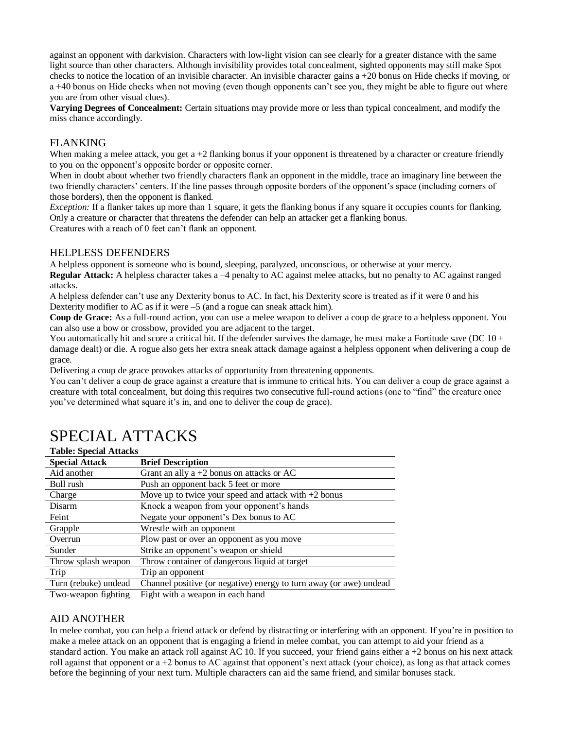against an opponent with darkvision. Characters with low-light vision can see clearly for a greater distance with the same light source than other characters. Although invisibility provides total concealment, sighted opponents may still make Spot checks to notice the location of an invisible character. An invisible character gains a +20 bonus on Hide checks if moving, or a +40 bonus on Hide checks when not moving (even though opponents can't see you, they might be able to figure out where you are from other visual clues).

**Varying Degrees of Concealment:** Certain situations may provide more or less than typical concealment, and modify the miss chance accordingly.

# FLANKING

When making a melee attack, you get a +2 flanking bonus if your opponent is threatened by a character or creature friendly to you on the opponent's opposite border or opposite corner.

When in doubt about whether two friendly characters flank an opponent in the middle, trace an imaginary line between the two friendly characters' centers. If the line passes through opposite borders of the opponent's space (including corners of those borders), then the opponent is flanked.

*Exception:* If a flanker takes up more than 1 square, it gets the flanking bonus if any square it occupies counts for flanking. Only a creature or character that threatens the defender can help an attacker get a flanking bonus. Creatures with a reach of 0 feet can't flank an opponent.

# HELPLESS DEFENDERS

A helpless opponent is someone who is bound, sleeping, paralyzed, unconscious, or otherwise at your mercy.

**Regular Attack:** A helpless character takes a –4 penalty to AC against melee attacks, but no penalty to AC against ranged attacks.

A helpless defender can't use any Dexterity bonus to AC. In fact, his Dexterity score is treated as if it were 0 and his Dexterity modifier to AC as if it were –5 (and a rogue can sneak attack him).

**Coup de Grace:** As a full-round action, you can use a melee weapon to deliver a coup de grace to a helpless opponent. You can also use a bow or crossbow, provided you are adjacent to the target.

You automatically hit and score a critical hit. If the defender survives the damage, he must make a Fortitude save (DC  $10 +$ damage dealt) or die. A rogue also gets her extra sneak attack damage against a helpless opponent when delivering a coup de grace.

Delivering a coup de grace provokes attacks of opportunity from threatening opponents.

You can't deliver a coup de grace against a creature that is immune to critical hits. You can deliver a coup de grace against a creature with total concealment, but doing this requires two consecutive full-round actions (one to "find" the creature once you've determined what square it's in, and one to deliver the coup de grace).

| Tadie: Special Attacks |                                                                    |
|------------------------|--------------------------------------------------------------------|
| <b>Special Attack</b>  | <b>Brief Description</b>                                           |
| Aid another            | Grant an ally $a + 2$ bonus on attacks or AC                       |
| Bull rush              | Push an opponent back 5 feet or more                               |
| Charge                 | Move up to twice your speed and attack with $+2$ bonus             |
| Disarm                 | Knock a weapon from your opponent's hands                          |
| Feint                  | Negate your opponent's Dex bonus to AC                             |
| Grapple                | Wrestle with an opponent                                           |
| Overrun                | Plow past or over an opponent as you move                          |
| Sunder                 | Strike an opponent's weapon or shield                              |
| Throw splash weapon    | Throw container of dangerous liquid at target                      |
| Trip                   | Trip an opponent                                                   |
| Turn (rebuke) undead   | Channel positive (or negative) energy to turn away (or awe) undead |
| Two-weanon fighting    | Fight with a weapon in each hand                                   |

# SPECIAL ATTACKS **Table: Special Attacks**

I wo-weapon fighting Fight with a weapon in each hand

# AID ANOTHER

In melee combat, you can help a friend attack or defend by distracting or interfering with an opponent. If you're in position to make a melee attack on an opponent that is engaging a friend in melee combat, you can attempt to aid your friend as a standard action. You make an attack roll against AC 10. If you succeed, your friend gains either a +2 bonus on his next attack roll against that opponent or a +2 bonus to AC against that opponent's next attack (your choice), as long as that attack comes before the beginning of your next turn. Multiple characters can aid the same friend, and similar bonuses stack.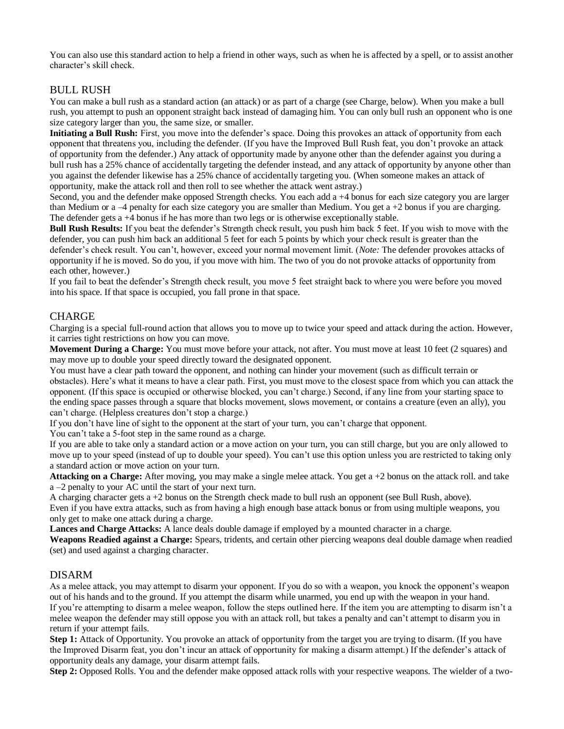You can also use this standard action to help a friend in other ways, such as when he is affected by a spell, or to assist another character's skill check.

# BULL RUSH

You can make a bull rush as a standard action (an attack) or as part of a charge (see Charge, below). When you make a bull rush, you attempt to push an opponent straight back instead of damaging him. You can only bull rush an opponent who is one size category larger than you, the same size, or smaller.

**Initiating a Bull Rush:** First, you move into the defender's space. Doing this provokes an attack of opportunity from each opponent that threatens you, including the defender. (If you have the Improved Bull Rush feat, you don't provoke an attack of opportunity from the defender.) Any attack of opportunity made by anyone other than the defender against you during a bull rush has a 25% chance of accidentally targeting the defender instead, and any attack of opportunity by anyone other than you against the defender likewise has a 25% chance of accidentally targeting you. (When someone makes an attack of opportunity, make the attack roll and then roll to see whether the attack went astray.)

Second, you and the defender make opposed Strength checks. You each add a +4 bonus for each size category you are larger than Medium or a –4 penalty for each size category you are smaller than Medium. You get a +2 bonus if you are charging. The defender gets a +4 bonus if he has more than two legs or is otherwise exceptionally stable.

**Bull Rush Results:** If you beat the defender's Strength check result, you push him back 5 feet. If you wish to move with the defender, you can push him back an additional 5 feet for each 5 points by which your check result is greater than the defender's check result. You can't, however, exceed your normal movement limit. (*Note:* The defender provokes attacks of opportunity if he is moved. So do you, if you move with him. The two of you do not provoke attacks of opportunity from each other, however.)

If you fail to beat the defender's Strength check result, you move 5 feet straight back to where you were before you moved into his space. If that space is occupied, you fall prone in that space.

# CHARGE

Charging is a special full-round action that allows you to move up to twice your speed and attack during the action. However, it carries tight restrictions on how you can move.

**Movement During a Charge:** You must move before your attack, not after. You must move at least 10 feet (2 squares) and may move up to double your speed directly toward the designated opponent.

You must have a clear path toward the opponent, and nothing can hinder your movement (such as difficult terrain or obstacles). Here's what it means to have a clear path. First, you must move to the closest space from which you can attack the opponent. (If this space is occupied or otherwise blocked, you can't charge.) Second, if any line from your starting space to the ending space passes through a square that blocks movement, slows movement, or contains a creature (even an ally), you can't charge. (Helpless creatures don't stop a charge.)

If you don't have line of sight to the opponent at the start of your turn, you can't charge that opponent.

You can't take a 5-foot step in the same round as a charge.

If you are able to take only a standard action or a move action on your turn, you can still charge, but you are only allowed to move up to your speed (instead of up to double your speed). You can't use this option unless you are restricted to taking only a standard action or move action on your turn.

**Attacking on a Charge:** After moving, you may make a single melee attack. You get a +2 bonus on the attack roll. and take a –2 penalty to your AC until the start of your next turn.

A charging character gets a +2 bonus on the Strength check made to bull rush an opponent (see Bull Rush, above). Even if you have extra attacks, such as from having a high enough base attack bonus or from using multiple weapons, you only get to make one attack during a charge.

**Lances and Charge Attacks:** A lance deals double damage if employed by a mounted character in a charge.

**Weapons Readied against a Charge:** Spears, tridents, and certain other piercing weapons deal double damage when readied (set) and used against a charging character.

# DISARM

As a melee attack, you may attempt to disarm your opponent. If you do so with a weapon, you knock the opponent's weapon out of his hands and to the ground. If you attempt the disarm while unarmed, you end up with the weapon in your hand. If you're attempting to disarm a melee weapon, follow the steps outlined here. If the item you are attempting to disarm isn't a melee weapon the defender may still oppose you with an attack roll, but takes a penalty and can't attempt to disarm you in return if your attempt fails.

**Step 1:** Attack of Opportunity. You provoke an attack of opportunity from the target you are trying to disarm. (If you have the Improved Disarm feat, you don't incur an attack of opportunity for making a disarm attempt.) If the defender's attack of opportunity deals any damage, your disarm attempt fails.

**Step 2:** Opposed Rolls. You and the defender make opposed attack rolls with your respective weapons. The wielder of a two-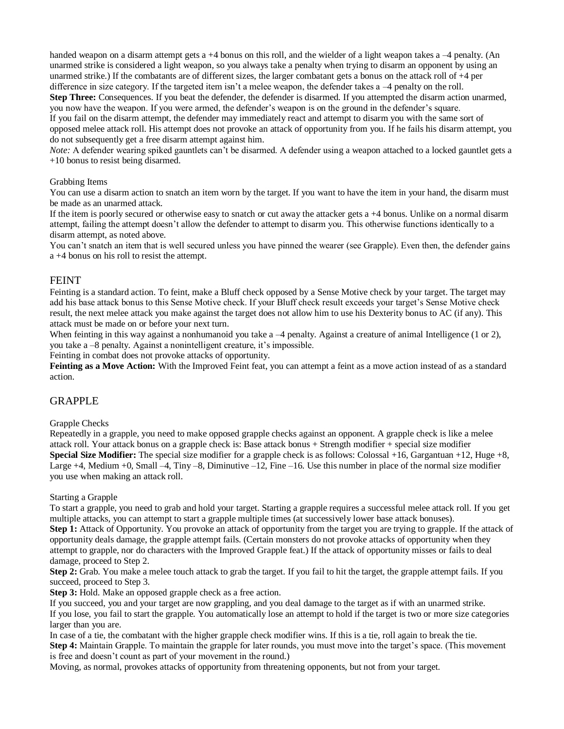handed weapon on a disarm attempt gets a +4 bonus on this roll, and the wielder of a light weapon takes a -4 penalty. (An unarmed strike is considered a light weapon, so you always take a penalty when trying to disarm an opponent by using an unarmed strike.) If the combatants are of different sizes, the larger combatant gets a bonus on the attack roll of +4 per difference in size category. If the targeted item isn't a melee weapon, the defender takes a –4 penalty on the roll.

**Step Three:** Consequences. If you beat the defender, the defender is disarmed. If you attempted the disarm action unarmed, you now have the weapon. If you were armed, the defender's weapon is on the ground in the defender's square. If you fail on the disarm attempt, the defender may immediately react and attempt to disarm you with the same sort of

opposed melee attack roll. His attempt does not provoke an attack of opportunity from you. If he fails his disarm attempt, you do not subsequently get a free disarm attempt against him.

*Note:* A defender wearing spiked gauntlets can't be disarmed. A defender using a weapon attached to a locked gauntlet gets a +10 bonus to resist being disarmed.

#### Grabbing Items

You can use a disarm action to snatch an item worn by the target. If you want to have the item in your hand, the disarm must be made as an unarmed attack.

If the item is poorly secured or otherwise easy to snatch or cut away the attacker gets  $a + 4$  bonus. Unlike on a normal disarm attempt, failing the attempt doesn't allow the defender to attempt to disarm you. This otherwise functions identically to a disarm attempt, as noted above.

You can't snatch an item that is well secured unless you have pinned the wearer (see Grapple). Even then, the defender gains a +4 bonus on his roll to resist the attempt.

### FEINT

Feinting is a standard action. To feint, make a Bluff check opposed by a Sense Motive check by your target. The target may add his base attack bonus to this Sense Motive check. If your Bluff check result exceeds your target's Sense Motive check result, the next melee attack you make against the target does not allow him to use his Dexterity bonus to AC (if any). This attack must be made on or before your next turn.

When feinting in this way against a nonhumanoid you take a  $-4$  penalty. Against a creature of animal Intelligence (1 or 2), you take a –8 penalty. Against a nonintelligent creature, it's impossible.

Feinting in combat does not provoke attacks of opportunity.

**Feinting as a Move Action:** With the Improved Feint feat, you can attempt a feint as a move action instead of as a standard action.

# GRAPPLE

#### Grapple Checks

Repeatedly in a grapple, you need to make opposed grapple checks against an opponent. A grapple check is like a melee attack roll. Your attack bonus on a grapple check is: Base attack bonus + Strength modifier + special size modifier **Special Size Modifier:** The special size modifier for a grapple check is as follows: Colossal +16, Gargantuan +12, Huge +8, Large +4, Medium +0, Small -4, Tiny -8, Diminutive -12, Fine -16. Use this number in place of the normal size modifier you use when making an attack roll.

#### Starting a Grapple

To start a grapple, you need to grab and hold your target. Starting a grapple requires a successful melee attack roll. If you get multiple attacks, you can attempt to start a grapple multiple times (at successively lower base attack bonuses).

**Step 1:** Attack of Opportunity. You provoke an attack of opportunity from the target you are trying to grapple. If the attack of opportunity deals damage, the grapple attempt fails. (Certain monsters do not provoke attacks of opportunity when they attempt to grapple, nor do characters with the Improved Grapple feat.) If the attack of opportunity misses or fails to deal damage, proceed to Step 2.

**Step 2:** Grab. You make a melee touch attack to grab the target. If you fail to hit the target, the grapple attempt fails. If you succeed, proceed to Step 3.

**Step 3:** Hold. Make an opposed grapple check as a free action.

If you succeed, you and your target are now grappling, and you deal damage to the target as if with an unarmed strike. If you lose, you fail to start the grapple. You automatically lose an attempt to hold if the target is two or more size categories larger than you are.

In case of a tie, the combatant with the higher grapple check modifier wins. If this is a tie, roll again to break the tie. **Step 4:** Maintain Grapple. To maintain the grapple for later rounds, you must move into the target's space. (This movement is free and doesn't count as part of your movement in the round.)

Moving, as normal, provokes attacks of opportunity from threatening opponents, but not from your target.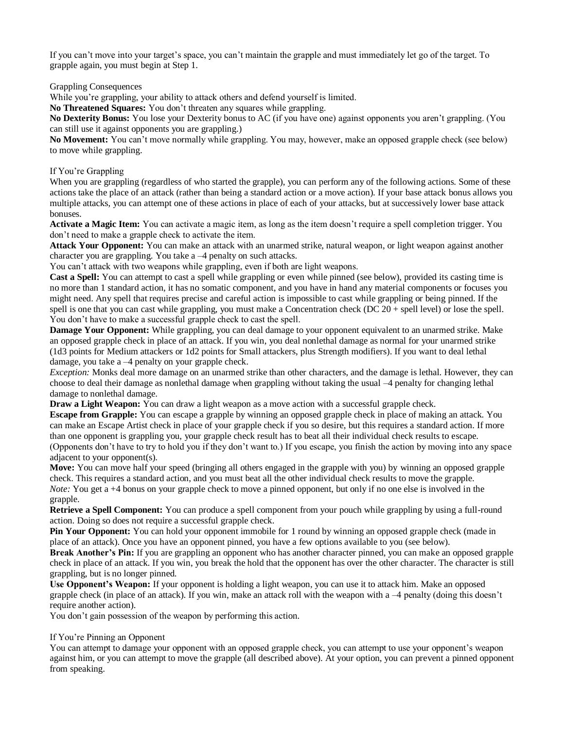If you can't move into your target's space, you can't maintain the grapple and must immediately let go of the target. To grapple again, you must begin at Step 1.

Grappling Consequences

While you're grappling, your ability to attack others and defend yourself is limited.

**No Threatened Squares:** You don't threaten any squares while grappling.

**No Dexterity Bonus:** You lose your Dexterity bonus to AC (if you have one) against opponents you aren't grappling. (You can still use it against opponents you are grappling.)

**No Movement:** You can't move normally while grappling. You may, however, make an opposed grapple check (see below) to move while grappling.

If You're Grappling

When you are grappling (regardless of who started the grapple), you can perform any of the following actions. Some of these actions take the place of an attack (rather than being a standard action or a move action). If your base attack bonus allows you multiple attacks, you can attempt one of these actions in place of each of your attacks, but at successively lower base attack bonuses.

**Activate a Magic Item:** You can activate a magic item, as long as the item doesn't require a spell completion trigger. You don't need to make a grapple check to activate the item.

**Attack Your Opponent:** You can make an attack with an unarmed strike, natural weapon, or light weapon against another character you are grappling. You take a –4 penalty on such attacks.

You can't attack with two weapons while grappling, even if both are light weapons.

**Cast a Spell:** You can attempt to cast a spell while grappling or even while pinned (see below), provided its casting time is no more than 1 standard action, it has no somatic component, and you have in hand any material components or focuses you might need. Any spell that requires precise and careful action is impossible to cast while grappling or being pinned. If the spell is one that you can cast while grappling, you must make a Concentration check ( $DC 20 + spell level$ ) or lose the spell. You don't have to make a successful grapple check to cast the spell.

**Damage Your Opponent:** While grappling, you can deal damage to your opponent equivalent to an unarmed strike. Make an opposed grapple check in place of an attack. If you win, you deal nonlethal damage as normal for your unarmed strike (1d3 points for Medium attackers or 1d2 points for Small attackers, plus Strength modifiers). If you want to deal lethal damage, you take a –4 penalty on your grapple check.

*Exception:* Monks deal more damage on an unarmed strike than other characters, and the damage is lethal. However, they can choose to deal their damage as nonlethal damage when grappling without taking the usual –4 penalty for changing lethal damage to nonlethal damage.

**Draw a Light Weapon:** You can draw a light weapon as a move action with a successful grapple check.

**Escape from Grapple:** You can escape a grapple by winning an opposed grapple check in place of making an attack. You can make an Escape Artist check in place of your grapple check if you so desire, but this requires a standard action. If more than one opponent is grappling you, your grapple check result has to beat all their individual check results to escape. (Opponents don't have to try to hold you if they don't want to.) If you escape, you finish the action by moving into any space adjacent to your opponent(s).

**Move:** You can move half your speed (bringing all others engaged in the grapple with you) by winning an opposed grapple check. This requires a standard action, and you must beat all the other individual check results to move the grapple. *Note:* You get a +4 bonus on your grapple check to move a pinned opponent, but only if no one else is involved in the grapple.

**Retrieve a Spell Component:** You can produce a spell component from your pouch while grappling by using a full-round action. Doing so does not require a successful grapple check.

**Pin Your Opponent:** You can hold your opponent immobile for 1 round by winning an opposed grapple check (made in place of an attack). Once you have an opponent pinned, you have a few options available to you (see below).

**Break Another's Pin:** If you are grappling an opponent who has another character pinned, you can make an opposed grapple check in place of an attack. If you win, you break the hold that the opponent has over the other character. The character is still grappling, but is no longer pinned.

**Use Opponent's Weapon:** If your opponent is holding a light weapon, you can use it to attack him. Make an opposed grapple check (in place of an attack). If you win, make an attack roll with the weapon with a  $-4$  penalty (doing this doesn't require another action).

You don't gain possession of the weapon by performing this action.

#### If You're Pinning an Opponent

You can attempt to damage your opponent with an opposed grapple check, you can attempt to use your opponent's weapon against him, or you can attempt to move the grapple (all described above). At your option, you can prevent a pinned opponent from speaking.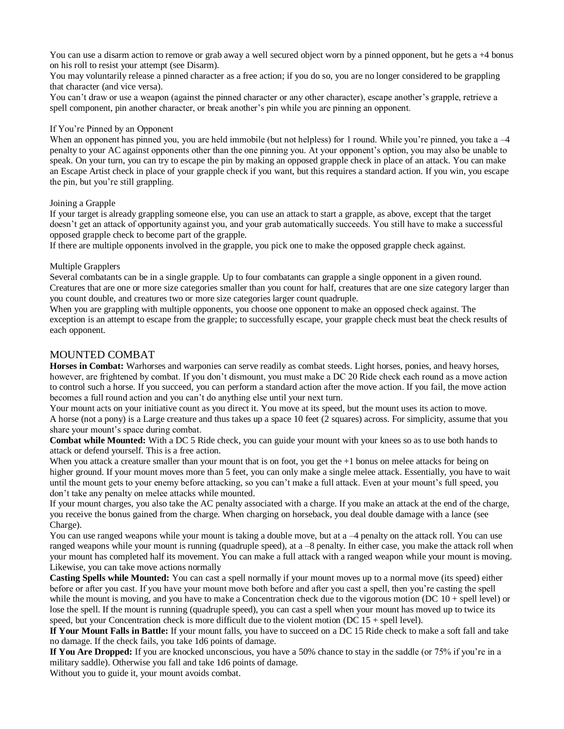You can use a disarm action to remove or grab away a well secured object worn by a pinned opponent, but he gets a  $+4$  bonus on his roll to resist your attempt (see Disarm).

You may voluntarily release a pinned character as a free action; if you do so, you are no longer considered to be grappling that character (and vice versa).

You can't draw or use a weapon (against the pinned character or any other character), escape another's grapple, retrieve a spell component, pin another character, or break another's pin while you are pinning an opponent.

#### If You're Pinned by an Opponent

When an opponent has pinned you, you are held immobile (but not helpless) for 1 round. While you're pinned, you take a -4 penalty to your AC against opponents other than the one pinning you. At your opponent's option, you may also be unable to speak. On your turn, you can try to escape the pin by making an opposed grapple check in place of an attack. You can make an Escape Artist check in place of your grapple check if you want, but this requires a standard action. If you win, you escape the pin, but you're still grappling.

#### Joining a Grapple

If your target is already grappling someone else, you can use an attack to start a grapple, as above, except that the target doesn't get an attack of opportunity against you, and your grab automatically succeeds. You still have to make a successful opposed grapple check to become part of the grapple.

If there are multiple opponents involved in the grapple, you pick one to make the opposed grapple check against.

#### Multiple Grapplers

Several combatants can be in a single grapple. Up to four combatants can grapple a single opponent in a given round. Creatures that are one or more size categories smaller than you count for half, creatures that are one size category larger than you count double, and creatures two or more size categories larger count quadruple.

When you are grappling with multiple opponents, you choose one opponent to make an opposed check against. The exception is an attempt to escape from the grapple; to successfully escape, your grapple check must beat the check results of each opponent.

### MOUNTED COMBAT

**Horses in Combat:** Warhorses and warponies can serve readily as combat steeds. Light horses, ponies, and heavy horses, however, are frightened by combat. If you don't dismount, you must make a DC 20 Ride check each round as a move action to control such a horse. If you succeed, you can perform a standard action after the move action. If you fail, the move action becomes a full round action and you can't do anything else until your next turn.

Your mount acts on your initiative count as you direct it. You move at its speed, but the mount uses its action to move. A horse (not a pony) is a Large creature and thus takes up a space 10 feet (2 squares) across. For simplicity, assume that you share your mount's space during combat.

**Combat while Mounted:** With a DC 5 Ride check, you can guide your mount with your knees so as to use both hands to attack or defend yourself. This is a free action.

When you attack a creature smaller than your mount that is on foot, you get the +1 bonus on melee attacks for being on higher ground. If your mount moves more than 5 feet, you can only make a single melee attack. Essentially, you have to wait until the mount gets to your enemy before attacking, so you can't make a full attack. Even at your mount's full speed, you don't take any penalty on melee attacks while mounted.

If your mount charges, you also take the AC penalty associated with a charge. If you make an attack at the end of the charge, you receive the bonus gained from the charge. When charging on horseback, you deal double damage with a lance (see Charge).

You can use ranged weapons while your mount is taking a double move, but at a  $-4$  penalty on the attack roll. You can use ranged weapons while your mount is running (quadruple speed), at a –8 penalty. In either case, you make the attack roll when your mount has completed half its movement. You can make a full attack with a ranged weapon while your mount is moving. Likewise, you can take move actions normally

**Casting Spells while Mounted:** You can cast a spell normally if your mount moves up to a normal move (its speed) either before or after you cast. If you have your mount move both before and after you cast a spell, then you're casting the spell while the mount is moving, and you have to make a Concentration check due to the vigorous motion (DC  $10 +$  spell level) or lose the spell. If the mount is running (quadruple speed), you can cast a spell when your mount has moved up to twice its speed, but your Concentration check is more difficult due to the violent motion (DC 15 + spell level).

**If Your Mount Falls in Battle:** If your mount falls, you have to succeed on a DC 15 Ride check to make a soft fall and take no damage. If the check fails, you take 1d6 points of damage.

**If You Are Dropped:** If you are knocked unconscious, you have a 50% chance to stay in the saddle (or 75% if you're in a military saddle). Otherwise you fall and take 1d6 points of damage.

Without you to guide it, your mount avoids combat.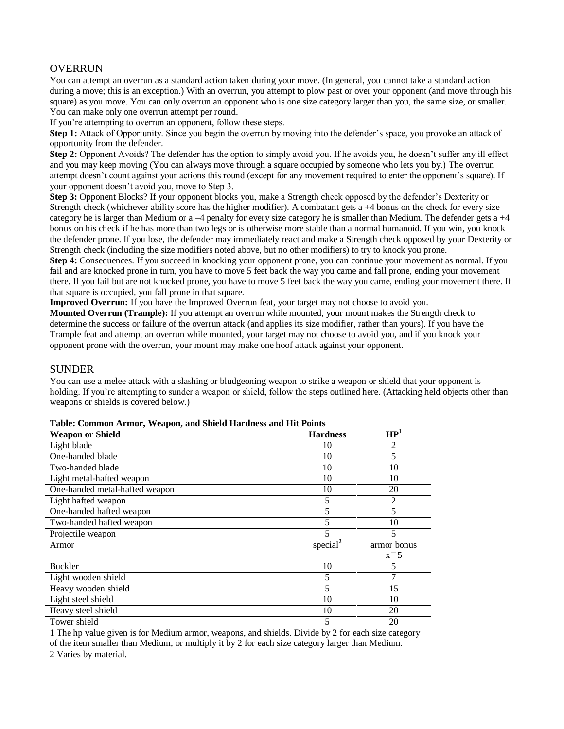# OVERRUN

You can attempt an overrun as a standard action taken during your move. (In general, you cannot take a standard action during a move; this is an exception.) With an overrun, you attempt to plow past or over your opponent (and move through his square) as you move. You can only overrun an opponent who is one size category larger than you, the same size, or smaller. You can make only one overrun attempt per round.

If you're attempting to overrun an opponent, follow these steps.

**Step 1:** Attack of Opportunity. Since you begin the overrun by moving into the defender's space, you provoke an attack of opportunity from the defender.

**Step 2:** Opponent Avoids? The defender has the option to simply avoid you. If he avoids you, he doesn't suffer any ill effect and you may keep moving (You can always move through a square occupied by someone who lets you by.) The overrun attempt doesn't count against your actions this round (except for any movement required to enter the opponent's square). If your opponent doesn't avoid you, move to Step 3.

**Step 3:** Opponent Blocks? If your opponent blocks you, make a Strength check opposed by the defender's Dexterity or Strength check (whichever ability score has the higher modifier). A combatant gets a +4 bonus on the check for every size category he is larger than Medium or a –4 penalty for every size category he is smaller than Medium. The defender gets a +4 bonus on his check if he has more than two legs or is otherwise more stable than a normal humanoid. If you win, you knock the defender prone. If you lose, the defender may immediately react and make a Strength check opposed by your Dexterity or Strength check (including the size modifiers noted above, but no other modifiers) to try to knock you prone.

**Step 4:** Consequences. If you succeed in knocking your opponent prone, you can continue your movement as normal. If you fail and are knocked prone in turn, you have to move 5 feet back the way you came and fall prone, ending your movement there. If you fail but are not knocked prone, you have to move 5 feet back the way you came, ending your movement there. If that square is occupied, you fall prone in that square.

**Improved Overrun:** If you have the Improved Overrun feat, your target may not choose to avoid you.

**Mounted Overrun (Trample):** If you attempt an overrun while mounted, your mount makes the Strength check to determine the success or failure of the overrun attack (and applies its size modifier, rather than yours). If you have the Trample feat and attempt an overrun while mounted, your target may not choose to avoid you, and if you knock your opponent prone with the overrun, your mount may make one hoof attack against your opponent.

#### **SUNDER**

You can use a melee attack with a slashing or bludgeoning weapon to strike a weapon or shield that your opponent is holding. If you're attempting to sunder a weapon or shield, follow the steps outlined here. (Attacking held objects other than weapons or shields is covered below.)

| <b>Weapon or Shield</b>        | <b>Hardness</b>      | HP <sup>1</sup> |
|--------------------------------|----------------------|-----------------|
| Light blade                    | 10                   | 2               |
| One-handed blade               | 10                   | 5               |
| Two-handed blade               | 10                   | 10              |
| Light metal-hafted weapon      | 10                   | 10              |
| One-handed metal-hafted weapon | 10                   | 20              |
| Light hafted weapon            | 5                    | 2               |
| One-handed hafted weapon       | 5                    |                 |
| Two-handed hafted weapon       | 5                    | 10              |
| Projectile weapon              | 5                    |                 |
| Armor                          | special <sup>2</sup> | armor bonus     |
|                                |                      | $x\Box 5$       |
| Buckler                        | 10                   | 5               |
| Light wooden shield            | 5                    |                 |
| Heavy wooden shield            | 5                    | 15              |
| Light steel shield             | 10                   | 10              |
| Heavy steel shield             | 10                   | 20              |
| Tower shield                   | 5                    | 20              |

| Table: Common Armor, Weapon, and Shield Hardness and Hit Points |  |  |  |  |  |  |
|-----------------------------------------------------------------|--|--|--|--|--|--|
|-----------------------------------------------------------------|--|--|--|--|--|--|

1 The hp value given is for Medium armor, weapons, and shields. Divide by 2 for each size category of the item smaller than Medium, or multiply it by 2 for each size category larger than Medium.

2 Varies by material.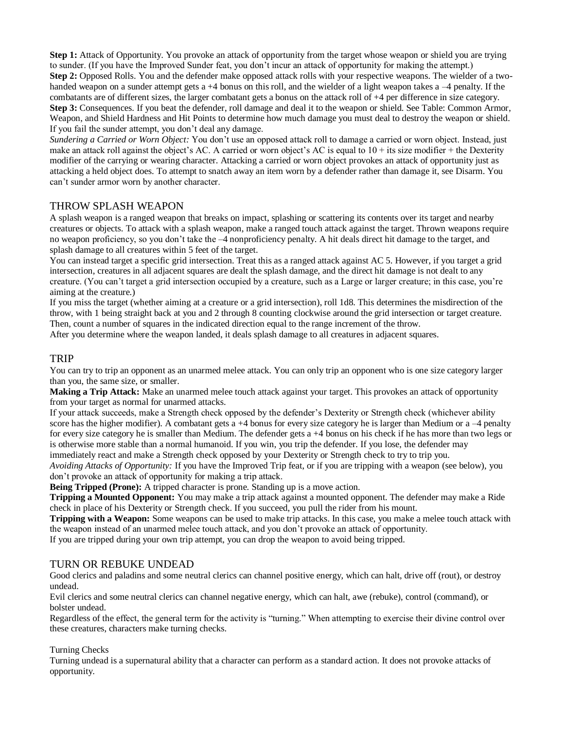**Step 1:** Attack of Opportunity. You provoke an attack of opportunity from the target whose weapon or shield you are trying to sunder. (If you have the Improved Sunder feat, you don't incur an attack of opportunity for making the attempt.) **Step 2:** Opposed Rolls. You and the defender make opposed attack rolls with your respective weapons. The wielder of a twohanded weapon on a sunder attempt gets  $a + 4$  bonus on this roll, and the wielder of a light weapon takes  $a - 4$  penalty. If the combatants are of different sizes, the larger combatant gets a bonus on the attack roll of +4 per difference in size category. **Step 3:** Consequences. If you beat the defender, roll damage and deal it to the weapon or shield. See Table: Common Armor, Weapon, and Shield Hardness and Hit Points to determine how much damage you must deal to destroy the weapon or shield. If you fail the sunder attempt, you don't deal any damage.

*Sundering a Carried or Worn Object:* You don't use an opposed attack roll to damage a carried or worn object. Instead, just make an attack roll against the object's AC. A carried or worn object's AC is equal to  $10 +$  its size modifier + the Dexterity modifier of the carrying or wearing character. Attacking a carried or worn object provokes an attack of opportunity just as attacking a held object does. To attempt to snatch away an item worn by a defender rather than damage it, see Disarm. You can't sunder armor worn by another character.

# THROW SPLASH WEAPON

A splash weapon is a ranged weapon that breaks on impact, splashing or scattering its contents over its target and nearby creatures or objects. To attack with a splash weapon, make a ranged touch attack against the target. Thrown weapons require no weapon proficiency, so you don't take the –4 nonproficiency penalty. A hit deals direct hit damage to the target, and splash damage to all creatures within 5 feet of the target.

You can instead target a specific grid intersection. Treat this as a ranged attack against AC 5. However, if you target a grid intersection, creatures in all adjacent squares are dealt the splash damage, and the direct hit damage is not dealt to any creature. (You can't target a grid intersection occupied by a creature, such as a Large or larger creature; in this case, you're aiming at the creature.)

If you miss the target (whether aiming at a creature or a grid intersection), roll 1d8. This determines the misdirection of the throw, with 1 being straight back at you and 2 through 8 counting clockwise around the grid intersection or target creature. Then, count a number of squares in the indicated direction equal to the range increment of the throw.

After you determine where the weapon landed, it deals splash damage to all creatures in adjacent squares.

# TRIP

You can try to trip an opponent as an unarmed melee attack. You can only trip an opponent who is one size category larger than you, the same size, or smaller.

**Making a Trip Attack:** Make an unarmed melee touch attack against your target. This provokes an attack of opportunity from your target as normal for unarmed attacks.

If your attack succeeds, make a Strength check opposed by the defender's Dexterity or Strength check (whichever ability score has the higher modifier). A combatant gets  $a + 4$  bonus for every size category he is larger than Medium or  $a - 4$  penalty for every size category he is smaller than Medium. The defender gets a +4 bonus on his check if he has more than two legs or is otherwise more stable than a normal humanoid. If you win, you trip the defender. If you lose, the defender may immediately react and make a Strength check opposed by your Dexterity or Strength check to try to trip you.

*Avoiding Attacks of Opportunity:* If you have the Improved Trip feat, or if you are tripping with a weapon (see below), you don't provoke an attack of opportunity for making a trip attack.

**Being Tripped (Prone):** A tripped character is prone. Standing up is a move action.

**Tripping a Mounted Opponent:** You may make a trip attack against a mounted opponent. The defender may make a Ride check in place of his Dexterity or Strength check. If you succeed, you pull the rider from his mount.

**Tripping with a Weapon:** Some weapons can be used to make trip attacks. In this case, you make a melee touch attack with the weapon instead of an unarmed melee touch attack, and you don't provoke an attack of opportunity.

If you are tripped during your own trip attempt, you can drop the weapon to avoid being tripped.

# TURN OR REBUKE UNDEAD

Good clerics and paladins and some neutral clerics can channel positive energy, which can halt, drive off (rout), or destroy undead.

Evil clerics and some neutral clerics can channel negative energy, which can halt, awe (rebuke), control (command), or bolster undead.

Regardless of the effect, the general term for the activity is "turning." When attempting to exercise their divine control over these creatures, characters make turning checks.

#### Turning Checks

Turning undead is a supernatural ability that a character can perform as a standard action. It does not provoke attacks of opportunity.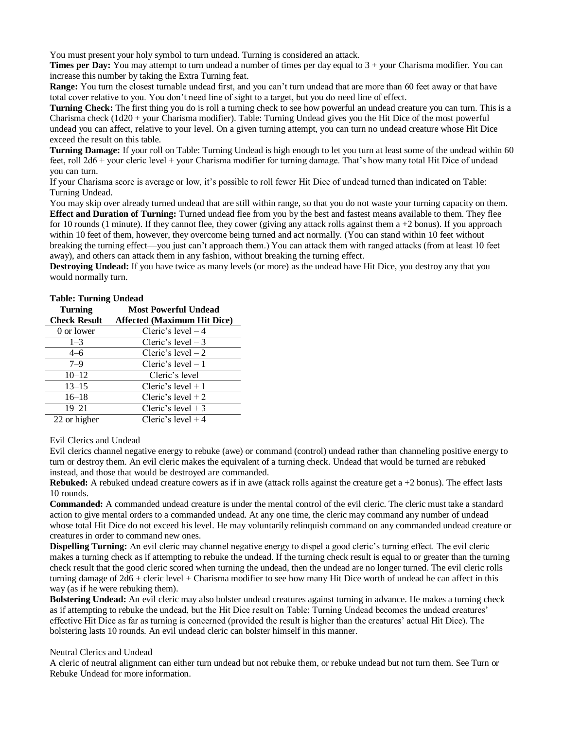You must present your holy symbol to turn undead. Turning is considered an attack.

**Times per Day:** You may attempt to turn undead a number of times per day equal to  $3 +$ your Charisma modifier. You can increase this number by taking the Extra Turning feat.

**Range:** You turn the closest turnable undead first, and you can't turn undead that are more than 60 feet away or that have total cover relative to you. You don't need line of sight to a target, but you do need line of effect.

**Turning Check:** The first thing you do is roll a turning check to see how powerful an undead creature you can turn. This is a Charisma check (1d20 + your Charisma modifier). Table: Turning Undead gives you the Hit Dice of the most powerful undead you can affect, relative to your level. On a given turning attempt, you can turn no undead creature whose Hit Dice exceed the result on this table.

**Turning Damage:** If your roll on Table: Turning Undead is high enough to let you turn at least some of the undead within 60 feet, roll 2d6 + your cleric level + your Charisma modifier for turning damage. That's how many total Hit Dice of undead you can turn.

If your Charisma score is average or low, it's possible to roll fewer Hit Dice of undead turned than indicated on Table: Turning Undead.

You may skip over already turned undead that are still within range, so that you do not waste your turning capacity on them. **Effect and Duration of Turning:** Turned undead flee from you by the best and fastest means available to them. They flee for 10 rounds (1 minute). If they cannot flee, they cower (giving any attack rolls against them a  $+2$  bonus). If you approach within 10 feet of them, however, they overcome being turned and act normally. (You can stand within 10 feet without breaking the turning effect—you just can't approach them.) You can attack them with ranged attacks (from at least 10 feet away), and others can attack them in any fashion, without breaking the turning effect.

**Destroying Undead:** If you have twice as many levels (or more) as the undead have Hit Dice, you destroy any that you would normally turn.

| rabic: raining chacad |                                    |
|-----------------------|------------------------------------|
| <b>Turning</b>        | <b>Most Powerful Undead</b>        |
| <b>Check Result</b>   | <b>Affected (Maximum Hit Dice)</b> |
| 0 or lower            | Cleric's level $-4$                |
| $1 - 3$               | Cleric's level $-3$                |
| $4 - 6$               | Cleric's level $-2$                |
| $7 - 9$               | Cleric's level $-1$                |
| $10 - 12$             | Cleric's level                     |
| $13 - 15$             | Cleric's level $+1$                |
| $16 - 18$             | Cleric's level $+2$                |
| $19 - 21$             | Cleric's level $+3$                |
| 22 or higher          | Cleric's level $+4$                |
|                       |                                    |

#### **Table: Turning Undead**

Evil Clerics and Undead

Evil clerics channel negative energy to rebuke (awe) or command (control) undead rather than channeling positive energy to turn or destroy them. An evil cleric makes the equivalent of a turning check. Undead that would be turned are rebuked instead, and those that would be destroyed are commanded.

**Rebuked:** A rebuked undead creature cowers as if in awe (attack rolls against the creature get a +2 bonus). The effect lasts 10 rounds.

**Commanded:** A commanded undead creature is under the mental control of the evil cleric. The cleric must take a standard action to give mental orders to a commanded undead. At any one time, the cleric may command any number of undead whose total Hit Dice do not exceed his level. He may voluntarily relinquish command on any commanded undead creature or creatures in order to command new ones.

**Dispelling Turning:** An evil cleric may channel negative energy to dispel a good cleric's turning effect. The evil cleric makes a turning check as if attempting to rebuke the undead. If the turning check result is equal to or greater than the turning check result that the good cleric scored when turning the undead, then the undead are no longer turned. The evil cleric rolls turning damage of 2d6 + cleric level + Charisma modifier to see how many Hit Dice worth of undead he can affect in this way (as if he were rebuking them).

**Bolstering Undead:** An evil cleric may also bolster undead creatures against turning in advance. He makes a turning check as if attempting to rebuke the undead, but the Hit Dice result on Table: Turning Undead becomes the undead creatures' effective Hit Dice as far as turning is concerned (provided the result is higher than the creatures' actual Hit Dice). The bolstering lasts 10 rounds. An evil undead cleric can bolster himself in this manner.

#### Neutral Clerics and Undead

A cleric of neutral alignment can either turn undead but not rebuke them, or rebuke undead but not turn them. See Turn or Rebuke Undead for more information.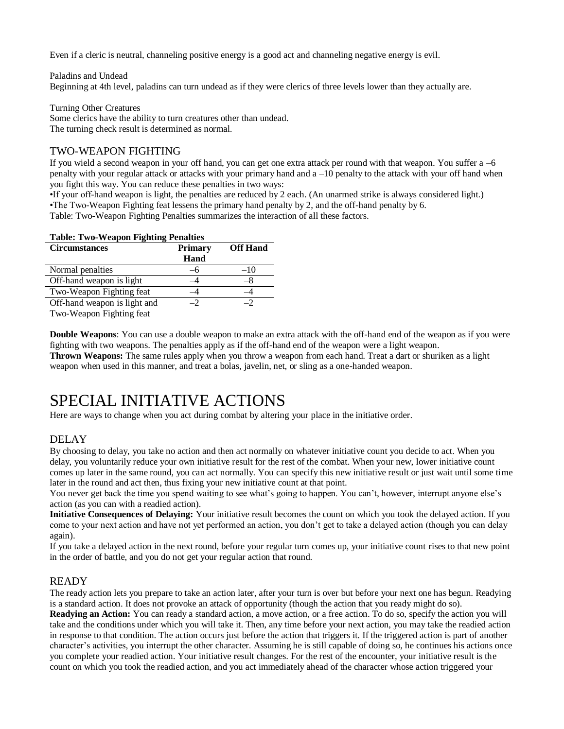Even if a cleric is neutral, channeling positive energy is a good act and channeling negative energy is evil.

Paladins and Undead

Beginning at 4th level, paladins can turn undead as if they were clerics of three levels lower than they actually are.

Turning Other Creatures Some clerics have the ability to turn creatures other than undead. The turning check result is determined as normal.

# TWO-WEAPON FIGHTING

If you wield a second weapon in your off hand, you can get one extra attack per round with that weapon. You suffer a –6 penalty with your regular attack or attacks with your primary hand and  $a - 10$  penalty to the attack with your off hand when you fight this way. You can reduce these penalties in two ways:

•If your off-hand weapon is light, the penalties are reduced by 2 each. (An unarmed strike is always considered light.) •The Two-Weapon Fighting feat lessens the primary hand penalty by 2, and the off-hand penalty by 6.

Table: Two-Weapon Fighting Penalties summarizes the interaction of all these factors.

#### **Table: Two-Weapon Fighting Penalties**

| <b>Circumstances</b>         | <b>Primary</b> | <b>Off Hand</b> |
|------------------------------|----------------|-----------------|
|                              | Hand           |                 |
| Normal penalties             |                | $-10$           |
| Off-hand weapon is light     |                |                 |
| Two-Weapon Fighting feat     |                |                 |
| Off-hand weapon is light and |                |                 |
|                              |                |                 |

Two-Weapon Fighting feat

**Double Weapons**: You can use a double weapon to make an extra attack with the off-hand end of the weapon as if you were fighting with two weapons. The penalties apply as if the off-hand end of the weapon were a light weapon.

**Thrown Weapons:** The same rules apply when you throw a weapon from each hand. Treat a dart or shuriken as a light weapon when used in this manner, and treat a bolas, javelin, net, or sling as a one-handed weapon.

# SPECIAL INITIATIVE ACTIONS

Here are ways to change when you act during combat by altering your place in the initiative order.

# DELAY

By choosing to delay, you take no action and then act normally on whatever initiative count you decide to act. When you delay, you voluntarily reduce your own initiative result for the rest of the combat. When your new, lower initiative count comes up later in the same round, you can act normally. You can specify this new initiative result or just wait until some time later in the round and act then, thus fixing your new initiative count at that point.

You never get back the time you spend waiting to see what's going to happen. You can't, however, interrupt anyone else's action (as you can with a readied action).

**Initiative Consequences of Delaying:** Your initiative result becomes the count on which you took the delayed action. If you come to your next action and have not yet performed an action, you don't get to take a delayed action (though you can delay again).

If you take a delayed action in the next round, before your regular turn comes up, your initiative count rises to that new point in the order of battle, and you do not get your regular action that round.

# READY

The ready action lets you prepare to take an action later, after your turn is over but before your next one has begun. Readying is a standard action. It does not provoke an attack of opportunity (though the action that you ready might do so).

**Readying an Action:** You can ready a standard action, a move action, or a free action. To do so, specify the action you will take and the conditions under which you will take it. Then, any time before your next action, you may take the readied action in response to that condition. The action occurs just before the action that triggers it. If the triggered action is part of another character's activities, you interrupt the other character. Assuming he is still capable of doing so, he continues his actions once you complete your readied action. Your initiative result changes. For the rest of the encounter, your initiative result is the count on which you took the readied action, and you act immediately ahead of the character whose action triggered your